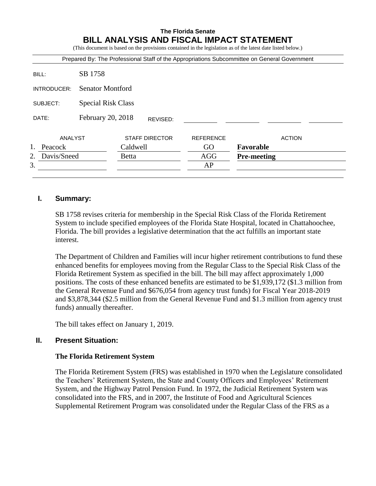## **The Florida Senate BILL ANALYSIS AND FISCAL IMPACT STATEMENT**

(This document is based on the provisions contained in the legislation as of the latest date listed below.)

|               |                           |                       |          |                  | Prepared By: The Professional Staff of the Appropriations Subcommittee on General Government |  |
|---------------|---------------------------|-----------------------|----------|------------------|----------------------------------------------------------------------------------------------|--|
| BILL:         | SB 1758                   |                       |          |                  |                                                                                              |  |
| INTRODUCER:   | <b>Senator Montford</b>   |                       |          |                  |                                                                                              |  |
| SUBJECT:      | <b>Special Risk Class</b> |                       |          |                  |                                                                                              |  |
| DATE:         | February 20, 2018         |                       | REVISED: |                  |                                                                                              |  |
| ANALYST       |                           | <b>STAFF DIRECTOR</b> |          | <b>REFERENCE</b> | <b>ACTION</b>                                                                                |  |
| 1.<br>Peacock |                           | Caldwell              |          | GO               | Favorable                                                                                    |  |
| 2.            | Davis/Sneed               |                       |          | AGG              | <b>Pre-meeting</b>                                                                           |  |
| 3.            |                           |                       |          | AP               |                                                                                              |  |

#### **I. Summary:**

SB 1758 revises criteria for membership in the Special Risk Class of the Florida Retirement System to include specified employees of the Florida State Hospital, located in Chattahoochee, Florida. The bill provides a legislative determination that the act fulfills an important state interest.

The Department of Children and Families will incur higher retirement contributions to fund these enhanced benefits for employees moving from the Regular Class to the Special Risk Class of the Florida Retirement System as specified in the bill. The bill may affect approximately 1,000 positions. The costs of these enhanced benefits are estimated to be \$1,939,172 (\$1.3 million from the General Revenue Fund and \$676,054 from agency trust funds) for Fiscal Year 2018-2019 and \$3,878,344 (\$2.5 million from the General Revenue Fund and \$1.3 million from agency trust funds) annually thereafter.

The bill takes effect on January 1, 2019.

### **II. Present Situation:**

#### **The Florida Retirement System**

The Florida Retirement System (FRS) was established in 1970 when the Legislature consolidated the Teachers' Retirement System, the State and County Officers and Employees' Retirement System, and the Highway Patrol Pension Fund. In 1972, the Judicial Retirement System was consolidated into the FRS, and in 2007, the Institute of Food and Agricultural Sciences Supplemental Retirement Program was consolidated under the Regular Class of the FRS as a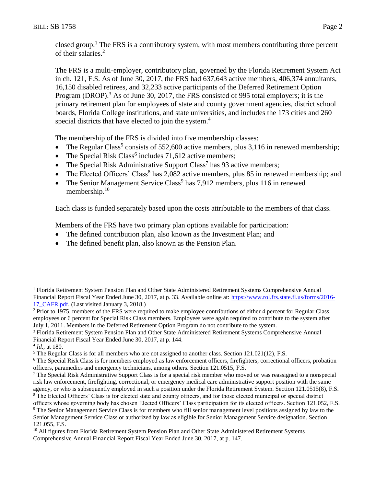closed group.<sup>1</sup> The FRS is a contributory system, with most members contributing three percent of their salaries.<sup>2</sup>

The FRS is a multi-employer, contributory plan, governed by the Florida Retirement System Act in ch. 121, F.S. As of June 30, 2017, the FRS had 637,643 active members, 406,374 annuitants, 16,150 disabled retirees, and 32,233 active participants of the Deferred Retirement Option Program (DROP).<sup>3</sup> As of June 30, 2017, the FRS consisted of 995 total employers; it is the primary retirement plan for employees of state and county government agencies, district school boards, Florida College institutions, and state universities, and includes the 173 cities and 260 special districts that have elected to join the system.<sup>4</sup>

The membership of the FRS is divided into five membership classes:

- The Regular Class<sup>5</sup> consists of 552,600 active members, plus 3,116 in renewed membership;
- The Special Risk Class<sup>6</sup> includes  $71,612$  active members;
- The Special Risk Administrative Support Class<sup>7</sup> has 93 active members;
- The Elected Officers' Class<sup>8</sup> has 2,082 active members, plus 85 in renewed membership; and
- The Senior Management Service Class<sup>9</sup> has  $7,912$  members, plus 116 in renewed membership.<sup>10</sup>

Each class is funded separately based upon the costs attributable to the members of that class.

Members of the FRS have two primary plan options available for participation:

- The defined contribution plan, also known as the Investment Plan; and
- The defined benefit plan, also known as the Pension Plan.

<sup>1</sup> Florida Retirement System Pension Plan and Other State Administered Retirement Systems Comprehensive Annual Financial Report Fiscal Year Ended June 30, 2017, at p. 33. Available online at: [https://www.rol.frs.state.fl.us/forms/2016-](https://www.rol.frs.state.fl.us/forms/2016-17_CAFR.pdf) [17\\_CAFR.pdf.](https://www.rol.frs.state.fl.us/forms/2016-17_CAFR.pdf) (Last visited January 3, 2018.)

<sup>&</sup>lt;sup>2</sup> Prior to 1975, members of the FRS were required to make employee contributions of either 4 percent for Regular Class employees or 6 percent for Special Risk Class members. Employees were again required to contribute to the system after July 1, 2011. Members in the Deferred Retirement Option Program do not contribute to the system.

<sup>3</sup> Florida Retirement System Pension Plan and Other State Administered Retirement Systems Comprehensive Annual Financial Report Fiscal Year Ended June 30, 2017, at p. 144.

<sup>4</sup> *Id.*, at 180.

<sup>5</sup> The Regular Class is for all members who are not assigned to another class. Section 121.021(12), F.S.

<sup>&</sup>lt;sup>6</sup> The Special Risk Class is for members employed as law enforcement officers, firefighters, correctional officers, probation officers, paramedics and emergency technicians, among others. Section 121.0515, F.S.

<sup>7</sup> The Special Risk Administrative Support Class is for a special risk member who moved or was reassigned to a nonspecial risk law enforcement, firefighting, correctional, or emergency medical care administrative support position with the same agency, or who is subsequently employed in such a position under the Florida Retirement System. Section 121.0515(8), F.S.

<sup>&</sup>lt;sup>8</sup> The Elected Officers' Class is for elected state and county officers, and for those elected municipal or special district officers whose governing body has chosen Elected Officers' Class participation for its elected officers. Section 121.052, F.S.

<sup>&</sup>lt;sup>9</sup> The Senior Management Service Class is for members who fill senior management level positions assigned by law to the Senior Management Service Class or authorized by law as eligible for Senior Management Service designation. Section 121.055, F.S.

<sup>&</sup>lt;sup>10</sup> All figures from Florida Retirement System Pension Plan and Other State Administered Retirement Systems Comprehensive Annual Financial Report Fiscal Year Ended June 30, 2017, at p. 147.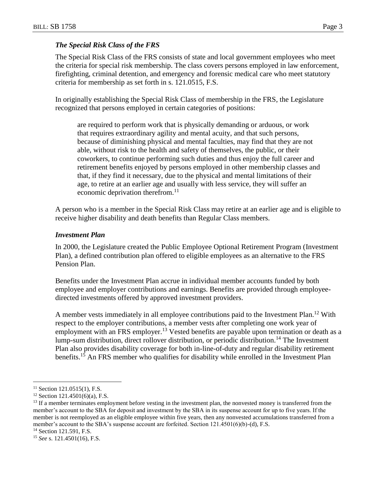#### *The Special Risk Class of the FRS*

The Special Risk Class of the FRS consists of state and local government employees who meet the criteria for special risk membership. The class covers persons employed in law enforcement, firefighting, criminal detention, and emergency and forensic medical care who meet statutory criteria for membership as set forth in s. 121.0515, F.S.

In originally establishing the Special Risk Class of membership in the FRS, the Legislature recognized that persons employed in certain categories of positions:

are required to perform work that is physically demanding or arduous, or work that requires extraordinary agility and mental acuity, and that such persons, because of diminishing physical and mental faculties, may find that they are not able, without risk to the health and safety of themselves, the public, or their coworkers, to continue performing such duties and thus enjoy the full career and retirement benefits enjoyed by persons employed in other membership classes and that, if they find it necessary, due to the physical and mental limitations of their age, to retire at an earlier age and usually with less service, they will suffer an economic deprivation therefrom.<sup>11</sup>

A person who is a member in the Special Risk Class may retire at an earlier age and is eligible to receive higher disability and death benefits than Regular Class members.

#### *Investment Plan*

In 2000, the Legislature created the Public Employee Optional Retirement Program (Investment Plan), a defined contribution plan offered to eligible employees as an alternative to the FRS Pension Plan.

Benefits under the Investment Plan accrue in individual member accounts funded by both employee and employer contributions and earnings. Benefits are provided through employeedirected investments offered by approved investment providers.

A member vests immediately in all employee contributions paid to the Investment Plan.<sup>12</sup> With respect to the employer contributions, a member vests after completing one work year of employment with an FRS employer.<sup>13</sup> Vested benefits are payable upon termination or death as a lump-sum distribution, direct rollover distribution, or periodic distribution.<sup>14</sup> The Investment Plan also provides disability coverage for both in-line-of-duty and regular disability retirement benefits.<sup>15</sup> An FRS member who qualifies for disability while enrolled in the Investment Plan

 $11$  Section 121.0515(1), F.S.

 $12$  Section 121.4501(6)(a), F.S.

<sup>&</sup>lt;sup>13</sup> If a member terminates employment before vesting in the investment plan, the nonvested money is transferred from the member's account to the SBA for deposit and investment by the SBA in its suspense account for up to five years. If the member is not reemployed as an eligible employee within five years, then any nonvested accumulations transferred from a member's account to the SBA's suspense account are forfeited. Section 121.4501(6)(b)-(d), F.S.

<sup>&</sup>lt;sup>14</sup> Section 121.591, F.S.

<sup>15</sup> *See* s. 121.4501(16), F.S.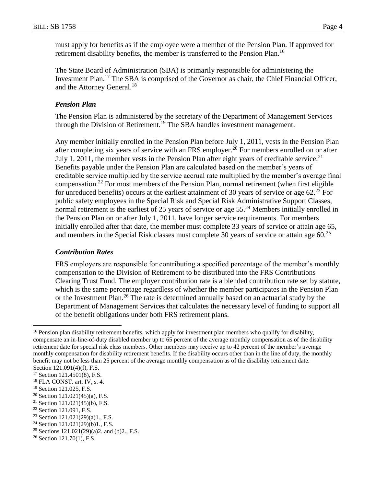must apply for benefits as if the employee were a member of the Pension Plan. If approved for retirement disability benefits, the member is transferred to the Pension Plan.<sup>16</sup>

The State Board of Administration (SBA) is primarily responsible for administering the Investment Plan.<sup>17</sup> The SBA is comprised of the Governor as chair, the Chief Financial Officer, and the Attorney General.<sup>18</sup>

#### *Pension Plan*

The Pension Plan is administered by the secretary of the Department of Management Services through the Division of Retirement.<sup>19</sup> The SBA handles investment management.

Any member initially enrolled in the Pension Plan before July 1, 2011, vests in the Pension Plan after completing six years of service with an FRS employer.<sup>20</sup> For members enrolled on or after July 1, 2011, the member vests in the Pension Plan after eight years of creditable service.<sup>21</sup> Benefits payable under the Pension Plan are calculated based on the member's years of creditable service multiplied by the service accrual rate multiplied by the member's average final compensation.<sup>22</sup> For most members of the Pension Plan, normal retirement (when first eligible for unreduced benefits) occurs at the earliest attainment of 30 years of service or age  $62<sup>23</sup>$  For public safety employees in the Special Risk and Special Risk Administrative Support Classes, normal retirement is the earliest of 25 years of service or age  $55.^{24}$  Members initially enrolled in the Pension Plan on or after July 1, 2011, have longer service requirements. For members initially enrolled after that date, the member must complete 33 years of service or attain age 65, and members in the Special Risk classes must complete 30 years of service or attain age  $60<sup>25</sup>$ 

## *Contribution Rates*

FRS employers are responsible for contributing a specified percentage of the member's monthly compensation to the Division of Retirement to be distributed into the FRS Contributions Clearing Trust Fund. The employer contribution rate is a blended contribution rate set by statute, which is the same percentage regardless of whether the member participates in the Pension Plan or the Investment Plan.<sup>26</sup> The rate is determined annually based on an actuarial study by the Department of Management Services that calculates the necessary level of funding to support all of the benefit obligations under both FRS retirement plans.

<sup>&</sup>lt;sup>16</sup> Pension plan disability retirement benefits, which apply for investment plan members who qualify for disability, compensate an in-line-of-duty disabled member up to 65 percent of the average monthly compensation as of the disability retirement date for special risk class members. Other members may receive up to 42 percent of the member's average monthly compensation for disability retirement benefits. If the disability occurs other than in the line of duty, the monthly benefit may not be less than 25 percent of the average monthly compensation as of the disability retirement date.

Section 121.091(4)(f), F.S.

<sup>17</sup> Section 121.4501(8), F.S.

<sup>18</sup> FLA CONST. art. IV, s. 4.

<sup>19</sup> Section 121.025, F.S.

<sup>20</sup> Section 121.021(45)(a), F.S.

<sup>&</sup>lt;sup>21</sup> Section 121.021(45)(b), F.S.

<sup>22</sup> Section 121.091, F.S.

<sup>23</sup> Section 121.021(29)(a)1., F.S.

<sup>24</sup> Section 121.021(29)(b)1., F.S.

<sup>&</sup>lt;sup>25</sup> Sections 121.021(29)(a)2. and (b)2., F.S.

<sup>26</sup> Section 121.70(1), F.S.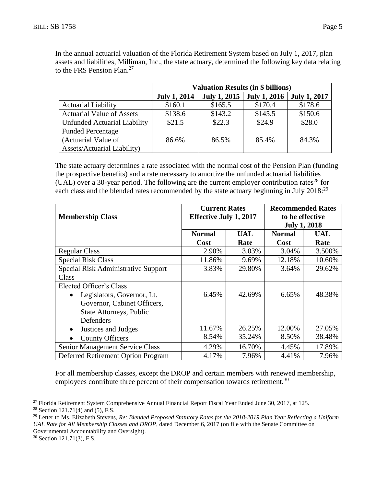In the annual actuarial valuation of the Florida Retirement System based on July 1, 2017, plan assets and liabilities, Milliman, Inc., the state actuary, determined the following key data relating to the FRS Pension Plan.<sup>27</sup>

|                                    | <b>Valuation Results (in \$ billions)</b> |                     |                     |                     |  |  |  |
|------------------------------------|-------------------------------------------|---------------------|---------------------|---------------------|--|--|--|
|                                    | <b>July 1, 2014</b>                       | <b>July 1, 2015</b> | <b>July 1, 2016</b> | <b>July 1, 2017</b> |  |  |  |
| <b>Actuarial Liability</b>         | \$160.1                                   | \$165.5             | \$170.4             | \$178.6             |  |  |  |
| <b>Actuarial Value of Assets</b>   | \$138.6                                   | \$143.2             | \$145.5             | \$150.6             |  |  |  |
| Unfunded Actuarial Liability       | \$21.5                                    | \$22.3              | \$24.9              | \$28.0              |  |  |  |
| <b>Funded Percentage</b>           |                                           |                     |                     |                     |  |  |  |
| (Actuarial Value of                | 86.6%                                     | 86.5%               | 85.4%               | 84.3%               |  |  |  |
| <b>Assets/Actuarial Liability)</b> |                                           |                     |                     |                     |  |  |  |

The state actuary determines a rate associated with the normal cost of the Pension Plan (funding the prospective benefits) and a rate necessary to amortize the unfunded actuarial liabilities (UAL) over a 30-year period. The following are the current employer contribution rates<sup>28</sup> for each class and the blended rates recommended by the state actuary beginning in July 2018:<sup>29</sup>

|                                        | <b>Current Rates</b>          |            | <b>Recommended Rates</b><br>to be effective |                     |
|----------------------------------------|-------------------------------|------------|---------------------------------------------|---------------------|
| <b>Membership Class</b>                | <b>Effective July 1, 2017</b> |            |                                             |                     |
|                                        |                               |            |                                             | <b>July 1, 2018</b> |
|                                        | <b>Normal</b>                 | <b>UAL</b> | <b>Normal</b>                               | UAL                 |
|                                        | Cost                          | Rate       | Cost                                        | Rate                |
| <b>Regular Class</b>                   | 2.90%                         | 3.03%      | 3.04%                                       | 3.500%              |
| <b>Special Risk Class</b>              | 11.86%                        | 9.69%      | 12.18%                                      | 10.60%              |
| Special Risk Administrative Support    | 3.83%                         | 29.80%     | 3.64%                                       | 29.62%              |
| Class                                  |                               |            |                                             |                     |
| Elected Officer's Class                |                               |            |                                             |                     |
| Legislators, Governor, Lt.             | 6.45%                         | 42.69%     | 6.65%                                       | 48.38%              |
| Governor, Cabinet Officers,            |                               |            |                                             |                     |
| State Attorneys, Public                |                               |            |                                             |                     |
| Defenders                              |                               |            |                                             |                     |
| Justices and Judges                    | 11.67%                        | 26.25%     | 12.00%                                      | 27.05%              |
| <b>County Officers</b>                 | 8.54%                         | 35.24%     | 8.50%                                       | 38.48%              |
| <b>Senior Management Service Class</b> | 4.29%                         | 16.70%     | 4.45%                                       | 17.89%              |
| Deferred Retirement Option Program     | 4.17%                         | 7.96%      | 4.41%                                       | 7.96%               |

For all membership classes, except the DROP and certain members with renewed membership, employees contribute three percent of their compensation towards retirement.<sup>30</sup>

<sup>30</sup> Section 121.71(3), F.S.

 $\overline{a}$ <sup>27</sup> Florida Retirement System Comprehensive Annual Financial Report Fiscal Year Ended June 30, 2017, at 125.

<sup>&</sup>lt;sup>28</sup> Section 121.71(4) and (5), F.S.

<sup>29</sup> Letter to Ms. Elizabeth Stevens, *Re: Blended Proposed Statutory Rates for the 2018-2019 Plan Year Reflecting a Uniform UAL Rate for All Membership Classes and DROP*, dated December 6, 2017 (on file with the Senate Committee on Governmental Accountability and Oversight).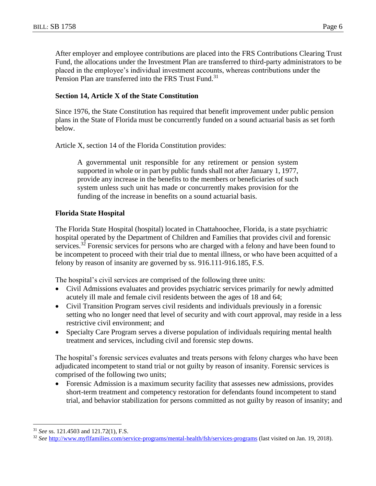After employer and employee contributions are placed into the FRS Contributions Clearing Trust Fund, the allocations under the Investment Plan are transferred to third-party administrators to be placed in the employee's individual investment accounts, whereas contributions under the Pension Plan are transferred into the FRS Trust Fund.<sup>31</sup>

## **Section 14, Article X of the State Constitution**

Since 1976, the State Constitution has required that benefit improvement under public pension plans in the State of Florida must be concurrently funded on a sound actuarial basis as set forth below.

Article X, section 14 of the Florida Constitution provides:

A governmental unit responsible for any retirement or pension system supported in whole or in part by public funds shall not after January 1, 1977, provide any increase in the benefits to the members or beneficiaries of such system unless such unit has made or concurrently makes provision for the funding of the increase in benefits on a sound actuarial basis.

### **Florida State Hospital**

The Florida State Hospital (hospital) located in Chattahoochee, Florida, is a state psychiatric hospital operated by the Department of Children and Families that provides civil and forensic services.<sup>32</sup> Forensic services for persons who are charged with a felony and have been found to be incompetent to proceed with their trial due to mental illness, or who have been acquitted of a felony by reason of insanity are governed by ss. 916.111-916.185, F.S.

The hospital's civil services are comprised of the following three units:

- Civil Admissions evaluates and provides psychiatric services primarily for newly admitted acutely ill male and female civil residents between the ages of 18 and 64;
- Civil Transition Program serves civil residents and individuals previously in a forensic setting who no longer need that level of security and with court approval, may reside in a less restrictive civil environment; and
- Specialty Care Program serves a diverse population of individuals requiring mental health treatment and services, including civil and forensic step downs.

The hospital's forensic services evaluates and treats persons with felony charges who have been adjudicated incompetent to stand trial or not guilty by reason of insanity. Forensic services is comprised of the following two units;

 Forensic Admission is a maximum security facility that assesses new admissions, provides short-term treatment and competency restoration for defendants found incompetent to stand trial, and behavior stabilization for persons committed as not guilty by reason of insanity; and

<sup>31</sup> *See* ss. 121.4503 and 121.72(1), F.S.

<sup>32</sup> *See* <http://www.myflfamilies.com/service-programs/mental-health/fsh/services-programs> (last visited on Jan. 19, 2018).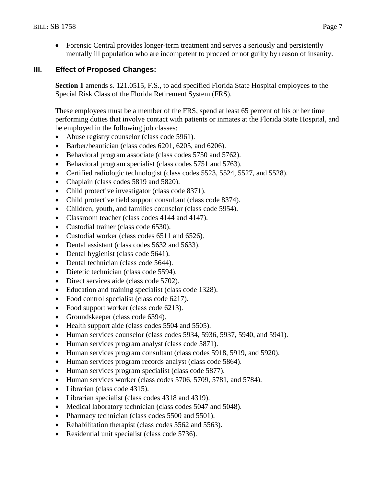• Forensic Central provides longer-term treatment and serves a seriously and persistently mentally ill population who are incompetent to proceed or not guilty by reason of insanity.

## **III. Effect of Proposed Changes:**

**Section 1** amends s. 121.0515, F.S., to add specified Florida State Hospital employees to the Special Risk Class of the Florida Retirement System (FRS).

These employees must be a member of the FRS, spend at least 65 percent of his or her time performing duties that involve contact with patients or inmates at the Florida State Hospital, and be employed in the following job classes:

- Abuse registry counselor (class code 5961).
- Barber/beautician (class codes 6201, 6205, and 6206).
- Behavioral program associate (class codes 5750 and 5762).
- Behavioral program specialist (class codes 5751 and 5763).
- Certified radiologic technologist (class codes 5523, 5524, 5527, and 5528).
- Chaplain (class codes 5819 and 5820).
- Child protective investigator (class code 8371).
- Child protective field support consultant (class code 8374).
- Children, youth, and families counselor (class code 5954).
- Classroom teacher (class codes 4144 and 4147).
- Custodial trainer (class code 6530).
- Custodial worker (class codes 6511 and 6526).
- Dental assistant (class codes 5632 and 5633).
- Dental hygienist (class code 5641).
- Dental technician (class code 5644).
- Dietetic technician (class code 5594).
- Direct services aide (class code 5702).
- Education and training specialist (class code 1328).
- Food control specialist (class code 6217).
- Food support worker (class code 6213).
- Groundskeeper (class code 6394).
- Health support aide (class codes 5504 and 5505).
- Human services counselor (class codes 5934, 5936, 5937, 5940, and 5941).
- Human services program analyst (class code 5871).
- Human services program consultant (class codes 5918, 5919, and 5920).
- Human services program records analyst (class code 5864).
- Human services program specialist (class code 5877).
- Human services worker (class codes 5706, 5709, 5781, and 5784).
- Librarian (class code 4315).
- Librarian specialist (class codes 4318 and 4319).
- Medical laboratory technician (class codes 5047 and 5048).
- Pharmacy technician (class codes 5500 and 5501).
- Rehabilitation therapist (class codes 5562 and 5563).
- Residential unit specialist (class code 5736).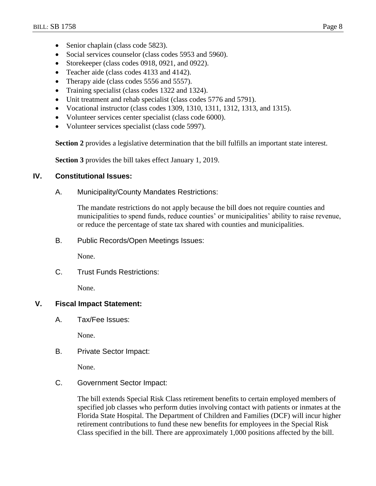- Senior chaplain (class code 5823).
- Social services counselor (class codes 5953 and 5960).
- Storekeeper (class codes 0918, 0921, and 0922).
- Teacher aide (class codes 4133 and 4142).
- Therapy aide (class codes 5556 and 5557).
- Training specialist (class codes 1322 and 1324).
- Unit treatment and rehab specialist (class codes 5776 and 5791).
- Vocational instructor (class codes 1309, 1310, 1311, 1312, 1313, and 1315).
- Volunteer services center specialist (class code 6000).
- Volunteer services specialist (class code 5997).

**Section 2** provides a legislative determination that the bill fulfills an important state interest.

**Section 3** provides the bill takes effect January 1, 2019.

## **IV. Constitutional Issues:**

A. Municipality/County Mandates Restrictions:

The mandate restrictions do not apply because the bill does not require counties and municipalities to spend funds, reduce counties' or municipalities' ability to raise revenue, or reduce the percentage of state tax shared with counties and municipalities.

B. Public Records/Open Meetings Issues:

None.

C. Trust Funds Restrictions:

None.

## **V. Fiscal Impact Statement:**

A. Tax/Fee Issues:

None.

B. Private Sector Impact:

None.

C. Government Sector Impact:

The bill extends Special Risk Class retirement benefits to certain employed members of specified job classes who perform duties involving contact with patients or inmates at the Florida State Hospital. The Department of Children and Families (DCF) will incur higher retirement contributions to fund these new benefits for employees in the Special Risk Class specified in the bill. There are approximately 1,000 positions affected by the bill.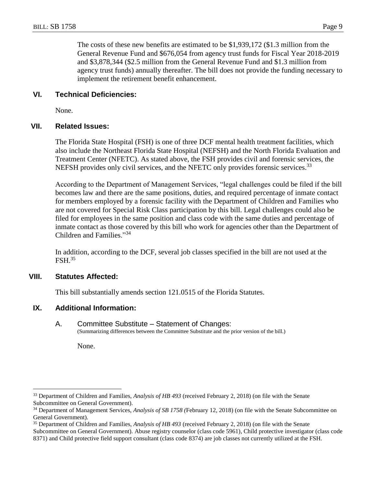## **VI. Technical Deficiencies:**

None.

### **VII. Related Issues:**

The Florida State Hospital (FSH) is one of three DCF mental health treatment facilities, which also include the Northeast Florida State Hospital (NEFSH) and the North Florida Evaluation and Treatment Center (NFETC). As stated above, the FSH provides civil and forensic services, the NEFSH provides only civil services, and the NFETC only provides forensic services.<sup>33</sup>

According to the Department of Management Services, "legal challenges could be filed if the bill becomes law and there are the same positions, duties, and required percentage of inmate contact for members employed by a forensic facility with the Department of Children and Families who are not covered for Special Risk Class participation by this bill. Legal challenges could also be filed for employees in the same position and class code with the same duties and percentage of inmate contact as those covered by this bill who work for agencies other than the Department of Children and Families."<sup>34</sup>

In addition, according to the DCF, several job classes specified in the bill are not used at the FSH.<sup>35</sup>

#### **VIII. Statutes Affected:**

This bill substantially amends section 121.0515 of the Florida Statutes.

## **IX. Additional Information:**

None.

A. Committee Substitute – Statement of Changes: (Summarizing differences between the Committee Substitute and the prior version of the bill.)

<sup>33</sup> Department of Children and Families, *Analysis of HB 493* (received February 2, 2018) (on file with the Senate Subcommittee on General Government).

<sup>34</sup> Department of Management Services, *Analysis of SB 1758 (*February 12, 2018) (on file with the Senate Subcommittee on General Government).

<sup>35</sup> Department of Children and Families, *Analysis of HB 493* (received February 2, 2018) (on file with the Senate Subcommittee on General Government). Abuse registry counselor (class code 5961), Child protective investigator (class code 8371) and Child protective field support consultant (class code 8374) are job classes not currently utilized at the FSH.